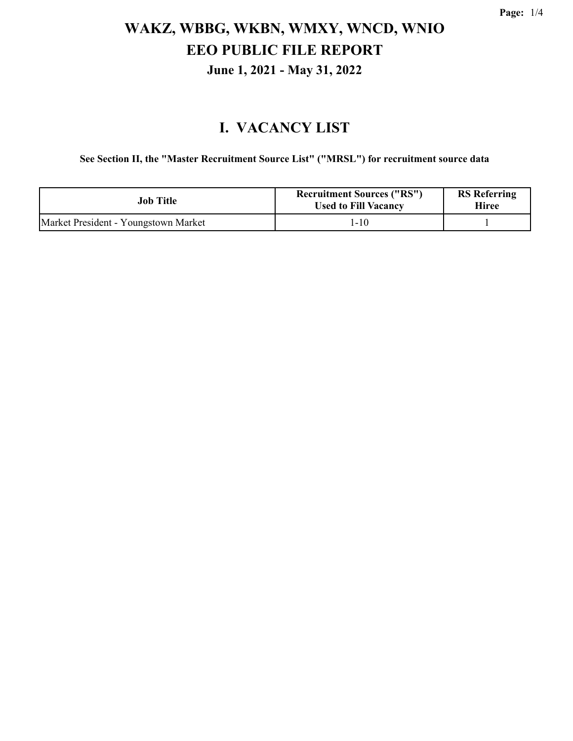#### **I. VACANCY LIST**

**See Section II, the "Master Recruitment Source List" ("MRSL") for recruitment source data**

| Job Title                            | <b>Recruitment Sources ("RS")</b><br><b>Used to Fill Vacancy</b> | <b>RS</b> Referring<br>Hiree |
|--------------------------------------|------------------------------------------------------------------|------------------------------|
| Market President - Youngstown Market | $1 - 10$                                                         |                              |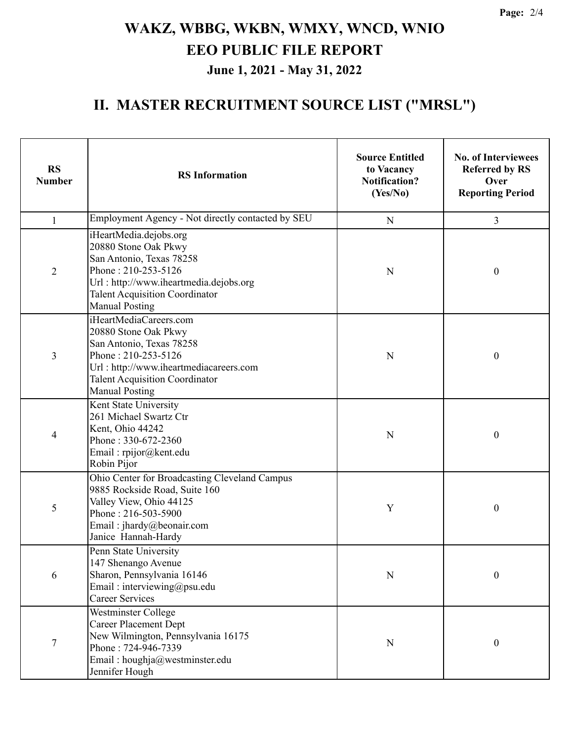### **II. MASTER RECRUITMENT SOURCE LIST ("MRSL")**

| <b>RS</b><br><b>Number</b> | <b>RS</b> Information                                                                                                                                                                                         | <b>Source Entitled</b><br>to Vacancy<br><b>Notification?</b><br>(Yes/No) | <b>No. of Interviewees</b><br><b>Referred by RS</b><br>Over<br><b>Reporting Period</b> |
|----------------------------|---------------------------------------------------------------------------------------------------------------------------------------------------------------------------------------------------------------|--------------------------------------------------------------------------|----------------------------------------------------------------------------------------|
| $\mathbf{1}$               | Employment Agency - Not directly contacted by SEU                                                                                                                                                             | $\mathbf N$                                                              | 3                                                                                      |
| $\overline{2}$             | iHeartMedia.dejobs.org<br>20880 Stone Oak Pkwy<br>San Antonio, Texas 78258<br>Phone: 210-253-5126<br>Url: http://www.iheartmedia.dejobs.org<br><b>Talent Acquisition Coordinator</b><br><b>Manual Posting</b> | N                                                                        | $\boldsymbol{0}$                                                                       |
| 3                          | iHeartMediaCareers.com<br>20880 Stone Oak Pkwy<br>San Antonio, Texas 78258<br>Phone: 210-253-5126<br>Url: http://www.iheartmediacareers.com<br><b>Talent Acquisition Coordinator</b><br><b>Manual Posting</b> | N                                                                        | $\boldsymbol{0}$                                                                       |
| 4                          | Kent State University<br>261 Michael Swartz Ctr<br>Kent, Ohio 44242<br>Phone: 330-672-2360<br>Email: rpijor@kent.edu<br>Robin Pijor                                                                           | N                                                                        | $\boldsymbol{0}$                                                                       |
| 5                          | Ohio Center for Broadcasting Cleveland Campus<br>9885 Rockside Road, Suite 160<br>Valley View, Ohio 44125<br>Phone: 216-503-5900<br>Email: jhardy@beonair.com<br>Janice Hannah-Hardy                          | Y                                                                        | $\boldsymbol{0}$                                                                       |
| 6                          | Penn State University<br>147 Shenango Avenue<br>Sharon, Pennsylvania 16146<br>Email: interviewing@psu.edu<br><b>Career Services</b>                                                                           | N                                                                        | $\boldsymbol{0}$                                                                       |
| 7                          | Westminster College<br><b>Career Placement Dept</b><br>New Wilmington, Pennsylvania 16175<br>Phone: 724-946-7339<br>Email: houghja@westminster.edu<br>Jennifer Hough                                          | $\mathbf N$                                                              | $\boldsymbol{0}$                                                                       |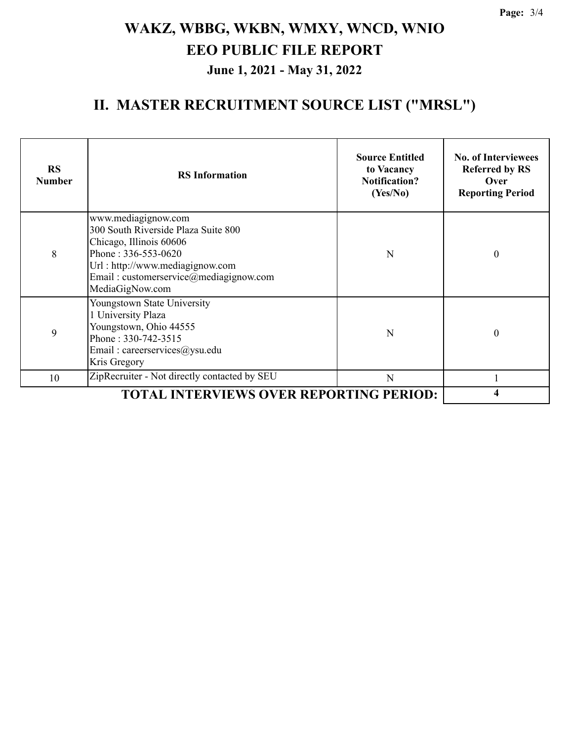### **II. MASTER RECRUITMENT SOURCE LIST ("MRSL")**

| <b>RS</b><br><b>Number</b> | <b>RS</b> Information                                                                                                                                                                                        | <b>Source Entitled</b><br>to Vacancy<br><b>Notification?</b><br>(Yes/No) | <b>No. of Interviewees</b><br><b>Referred by RS</b><br>Over<br><b>Reporting Period</b> |
|----------------------------|--------------------------------------------------------------------------------------------------------------------------------------------------------------------------------------------------------------|--------------------------------------------------------------------------|----------------------------------------------------------------------------------------|
| 8                          | www.mediagignow.com<br>300 South Riverside Plaza Suite 800<br>Chicago, Illinois 60606<br>Phone: 336-553-0620<br>Url: http://www.mediagignow.com<br>Email: customerservice@mediagignow.com<br>MediaGigNow.com | N                                                                        | $\theta$                                                                               |
| 9                          | Youngstown State University<br>1 University Plaza<br>Youngstown, Ohio 44555<br>Phone: 330-742-3515<br>Email: careerservices@ysu.edu<br>Kris Gregory                                                          | N                                                                        | $\theta$                                                                               |
| 10                         | ZipRecruiter - Not directly contacted by SEU                                                                                                                                                                 | N                                                                        |                                                                                        |
|                            |                                                                                                                                                                                                              |                                                                          |                                                                                        |